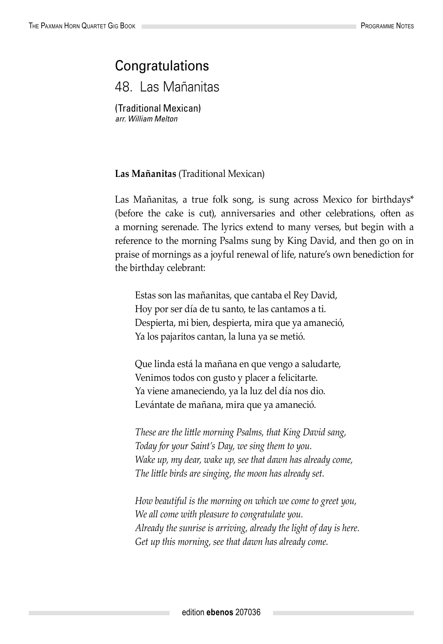## **Congratulations**

48. Las Mañanitas

(Traditional Mexican) *arr. William Melton*

## **Las Mañanitas** (Traditional Mexican)

Las Mañanitas, a true folk song, is sung across Mexico for birthdays\* (before the cake is cut), anniversaries and other celebrations, often as a morning serenade. The lyrics extend to many verses, but begin with a reference to the morning Psalms sung by King David, and then go on in praise of mornings as a joyful renewal of life, nature's own benediction for the birthday celebrant:

Estas son las mañanitas, que cantaba el Rey David, Hoy por ser día de tu santo, te las cantamos a ti. Despierta, mi bien, despierta, mira que ya amaneció, Ya los pajaritos cantan, la luna ya se metió.

Que linda está la mañana en que vengo a saludarte, Venimos todos con gusto y placer a felicitarte. Ya viene amaneciendo, ya la luz del día nos dio. Levántate de mañana, mira que ya amaneció.

*These are the little morning Psalms, that King David sang, Today for your Saint's Day, we sing them to you. Wake up, my dear, wake up, see that dawn has already come, The little birds are singing, the moon has already set.*

*How beautiful is the morning on which we come to greet you, We all come with pleasure to congratulate you. Already the sunrise is arriving, already the light of day is here. Get up this morning, see that dawn has already come.*